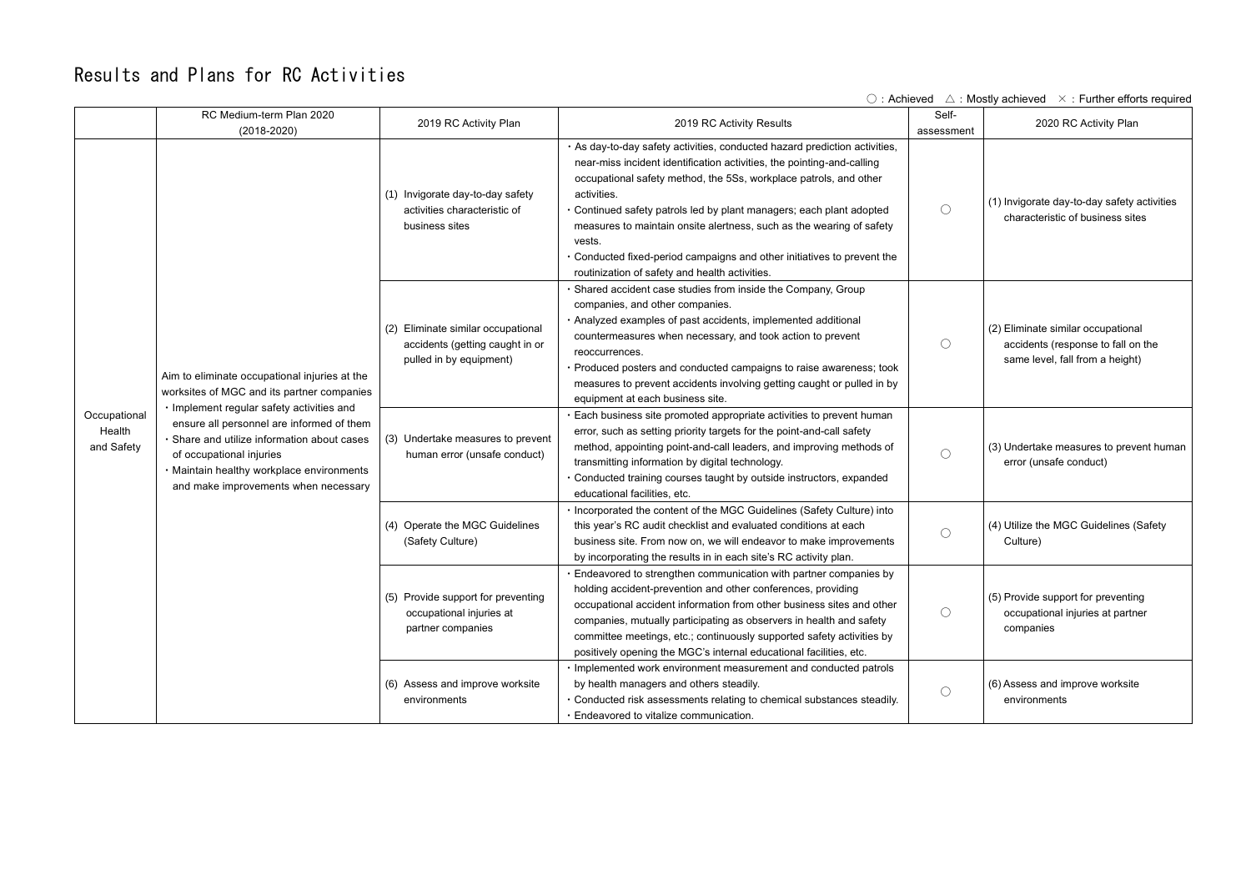## Results and Plans for RC Activities

| $\circ$ : Achieved $\wedge$ : Mostly achieved $\times$ : Further efforts required |                                                                                                                                                                                                                                                                                                                                                       |                                                                                                  |                                                                                                                                                                                                                                                                                                                                                                                                                                                                                                                                 |                     |                                                                                                             |
|-----------------------------------------------------------------------------------|-------------------------------------------------------------------------------------------------------------------------------------------------------------------------------------------------------------------------------------------------------------------------------------------------------------------------------------------------------|--------------------------------------------------------------------------------------------------|---------------------------------------------------------------------------------------------------------------------------------------------------------------------------------------------------------------------------------------------------------------------------------------------------------------------------------------------------------------------------------------------------------------------------------------------------------------------------------------------------------------------------------|---------------------|-------------------------------------------------------------------------------------------------------------|
|                                                                                   | RC Medium-term Plan 2020<br>$(2018 - 2020)$                                                                                                                                                                                                                                                                                                           | 2019 RC Activity Plan                                                                            | 2019 RC Activity Results                                                                                                                                                                                                                                                                                                                                                                                                                                                                                                        | Self-<br>assessment | 2020 RC Activity Plan                                                                                       |
| Occupational<br>Health<br>and Safety                                              | Aim to eliminate occupational injuries at the<br>worksites of MGC and its partner companies<br>· Implement regular safety activities and<br>ensure all personnel are informed of them<br>· Share and utilize information about cases<br>of occupational injuries<br>· Maintain healthy workplace environments<br>and make improvements when necessary | (1) Invigorate day-to-day safety<br>activities characteristic of<br>business sites               | · As day-to-day safety activities, conducted hazard prediction activities,<br>near-miss incident identification activities, the pointing-and-calling<br>occupational safety method, the 5Ss, workplace patrols, and other<br>activities.<br>• Continued safety patrols led by plant managers; each plant adopted<br>measures to maintain onsite alertness, such as the wearing of safety<br>vests.<br>. Conducted fixed-period campaigns and other initiatives to prevent the<br>routinization of safety and health activities. | $\bigcirc$          | (1) Invigorate day-to-day safety activities<br>characteristic of business sites                             |
|                                                                                   |                                                                                                                                                                                                                                                                                                                                                       | (2) Eliminate similar occupational<br>accidents (getting caught in or<br>pulled in by equipment) | · Shared accident case studies from inside the Company, Group<br>companies, and other companies.<br>· Analyzed examples of past accidents, implemented additional<br>countermeasures when necessary, and took action to prevent<br>reoccurrences.<br>· Produced posters and conducted campaigns to raise awareness; took<br>measures to prevent accidents involving getting caught or pulled in by<br>equipment at each business site.                                                                                          | $\bigcirc$          | (2) Eliminate similar occupational<br>accidents (response to fall on the<br>same level, fall from a height) |
|                                                                                   |                                                                                                                                                                                                                                                                                                                                                       | (3) Undertake measures to prevent<br>human error (unsafe conduct)                                | . Each business site promoted appropriate activities to prevent human<br>error, such as setting priority targets for the point-and-call safety<br>method, appointing point-and-call leaders, and improving methods of<br>transmitting information by digital technology.<br>· Conducted training courses taught by outside instructors, expanded<br>educational facilities, etc.                                                                                                                                                | $\bigcirc$          | (3) Undertake measures to prevent human<br>error (unsafe conduct)                                           |
|                                                                                   |                                                                                                                                                                                                                                                                                                                                                       | (4) Operate the MGC Guidelines<br>(Safety Culture)                                               | . Incorporated the content of the MGC Guidelines (Safety Culture) into<br>this year's RC audit checklist and evaluated conditions at each<br>business site. From now on, we will endeavor to make improvements<br>by incorporating the results in in each site's RC activity plan.                                                                                                                                                                                                                                              | $\bigcirc$          | (4) Utilize the MGC Guidelines (Safety<br>Culture)                                                          |
|                                                                                   |                                                                                                                                                                                                                                                                                                                                                       | (5) Provide support for preventing<br>occupational injuries at<br>partner companies              | . Endeavored to strengthen communication with partner companies by<br>holding accident-prevention and other conferences, providing<br>occupational accident information from other business sites and other<br>companies, mutually participating as observers in health and safety<br>committee meetings, etc.; continuously supported safety activities by<br>positively opening the MGC's internal educational facilities, etc.                                                                                               | $\bigcirc$          | (5) Provide support for preventing<br>occupational injuries at partner<br>companies                         |
|                                                                                   |                                                                                                                                                                                                                                                                                                                                                       | (6) Assess and improve worksite<br>environments                                                  | · Implemented work environment measurement and conducted patrols<br>by health managers and others steadily.<br>· Conducted risk assessments relating to chemical substances steadily.<br>· Endeavored to vitalize communication.                                                                                                                                                                                                                                                                                                | $\bigcirc$          | (6) Assess and improve worksite<br>environments                                                             |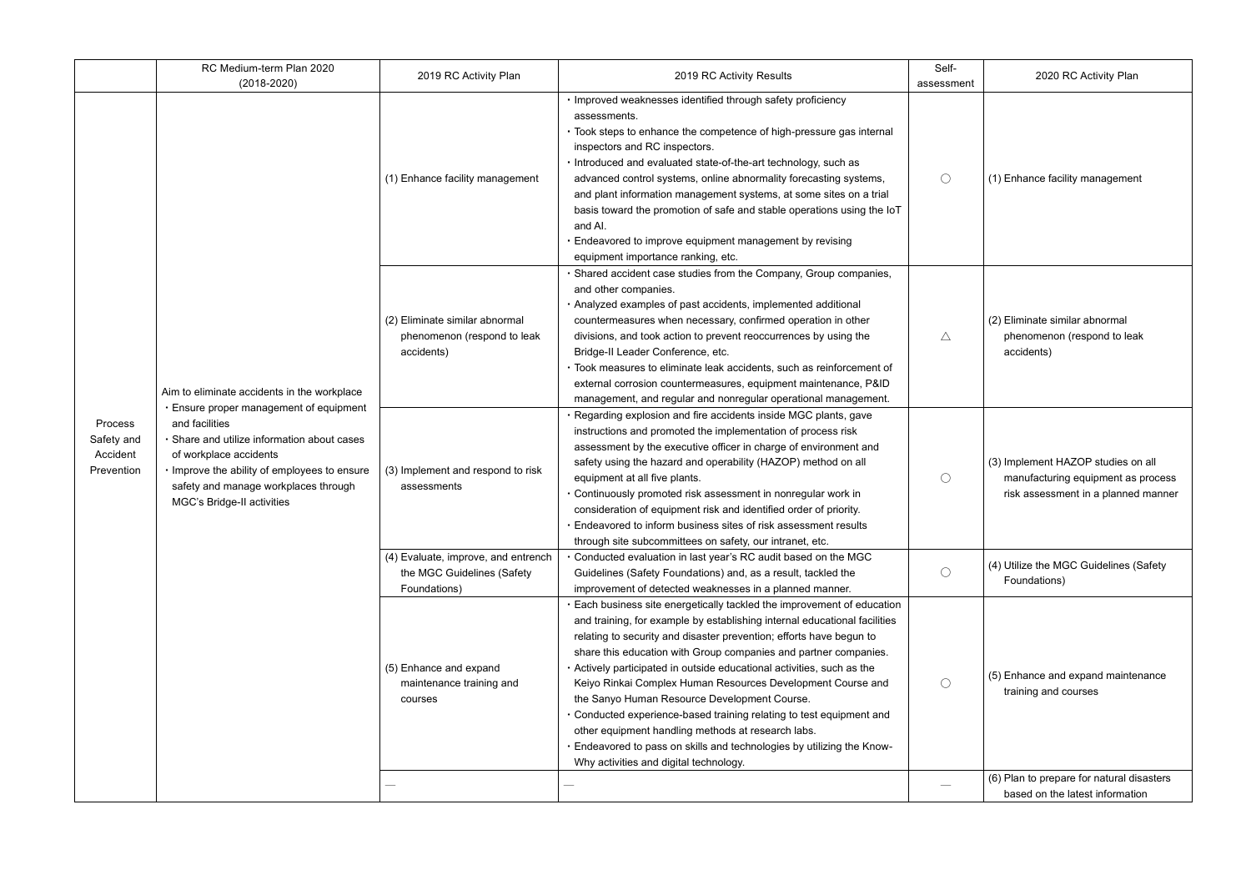|                                                        | RC Medium-term Plan 2020<br>$(2018 - 2020)$                                                                                                                                                                                                                                                           | 2019 RC Activity Plan                                                             | 2019 RC Activity Results                                                                                                                                                                                                                                                                                                                                                                                                                                                                                                                                                                                                                                                                                                                 | Self-<br>assessment | 2020 RC Activity Plan                                                                                           |
|--------------------------------------------------------|-------------------------------------------------------------------------------------------------------------------------------------------------------------------------------------------------------------------------------------------------------------------------------------------------------|-----------------------------------------------------------------------------------|------------------------------------------------------------------------------------------------------------------------------------------------------------------------------------------------------------------------------------------------------------------------------------------------------------------------------------------------------------------------------------------------------------------------------------------------------------------------------------------------------------------------------------------------------------------------------------------------------------------------------------------------------------------------------------------------------------------------------------------|---------------------|-----------------------------------------------------------------------------------------------------------------|
| <b>Process</b><br>Safety and<br>Accident<br>Prevention | Aim to eliminate accidents in the workplace<br>Ensure proper management of equipment<br>and facilities<br>· Share and utilize information about cases<br>of workplace accidents<br>· Improve the ability of employees to ensure<br>safety and manage workplaces through<br>MGC's Bridge-II activities | (1) Enhance facility management                                                   | · Improved weaknesses identified through safety proficiency<br>assessments.<br>· Took steps to enhance the competence of high-pressure gas internal<br>inspectors and RC inspectors.<br>· Introduced and evaluated state-of-the-art technology, such as<br>advanced control systems, online abnormality forecasting systems,<br>and plant information management systems, at some sites on a trial<br>basis toward the promotion of safe and stable operations using the IoT<br>and AI.<br>Endeavored to improve equipment management by revising<br>equipment importance ranking, etc.                                                                                                                                                  | $\bigcirc$          | (1) Enhance facility management                                                                                 |
|                                                        |                                                                                                                                                                                                                                                                                                       | (2) Eliminate similar abnormal<br>phenomenon (respond to leak<br>accidents)       | · Shared accident case studies from the Company, Group companies,<br>and other companies.<br>· Analyzed examples of past accidents, implemented additional<br>countermeasures when necessary, confirmed operation in other<br>divisions, and took action to prevent reoccurrences by using the<br>Bridge-II Leader Conference, etc.<br>· Took measures to eliminate leak accidents, such as reinforcement of<br>external corrosion countermeasures, equipment maintenance, P&ID<br>management, and regular and nonregular operational management.                                                                                                                                                                                        | Δ                   | (2) Eliminate similar abnormal<br>phenomenon (respond to leak<br>accidents)                                     |
|                                                        |                                                                                                                                                                                                                                                                                                       | (3) Implement and respond to risk<br>assessments                                  | · Regarding explosion and fire accidents inside MGC plants, gave<br>instructions and promoted the implementation of process risk<br>assessment by the executive officer in charge of environment and<br>safety using the hazard and operability (HAZOP) method on all<br>equipment at all five plants.<br>· Continuously promoted risk assessment in nonregular work in<br>consideration of equipment risk and identified order of priority.<br>. Endeavored to inform business sites of risk assessment results<br>through site subcommittees on safety, our intranet, etc.                                                                                                                                                             | $\bigcirc$          | (3) Implement HAZOP studies on all<br>manufacturing equipment as process<br>risk assessment in a planned manner |
|                                                        |                                                                                                                                                                                                                                                                                                       | (4) Evaluate, improve, and entrench<br>the MGC Guidelines (Safety<br>Foundations) | . Conducted evaluation in last year's RC audit based on the MGC<br>Guidelines (Safety Foundations) and, as a result, tackled the<br>improvement of detected weaknesses in a planned manner.                                                                                                                                                                                                                                                                                                                                                                                                                                                                                                                                              | $\bigcirc$          | (4) Utilize the MGC Guidelines (Safety<br>Foundations)                                                          |
|                                                        |                                                                                                                                                                                                                                                                                                       | (5) Enhance and expand<br>maintenance training and<br>courses                     | . Each business site energetically tackled the improvement of education<br>and training, for example by establishing internal educational facilities<br>relating to security and disaster prevention; efforts have begun to<br>share this education with Group companies and partner companies.<br>. Actively participated in outside educational activities, such as the<br>Keiyo Rinkai Complex Human Resources Development Course and<br>the Sanyo Human Resource Development Course.<br>. Conducted experience-based training relating to test equipment and<br>other equipment handling methods at research labs.<br>Endeavored to pass on skills and technologies by utilizing the Know-<br>Why activities and digital technology. | $\bigcirc$          | (5) Enhance and expand maintenance<br>training and courses                                                      |
|                                                        |                                                                                                                                                                                                                                                                                                       |                                                                                   |                                                                                                                                                                                                                                                                                                                                                                                                                                                                                                                                                                                                                                                                                                                                          |                     | (6) Plan to prepare for natural disasters<br>based on the latest information                                    |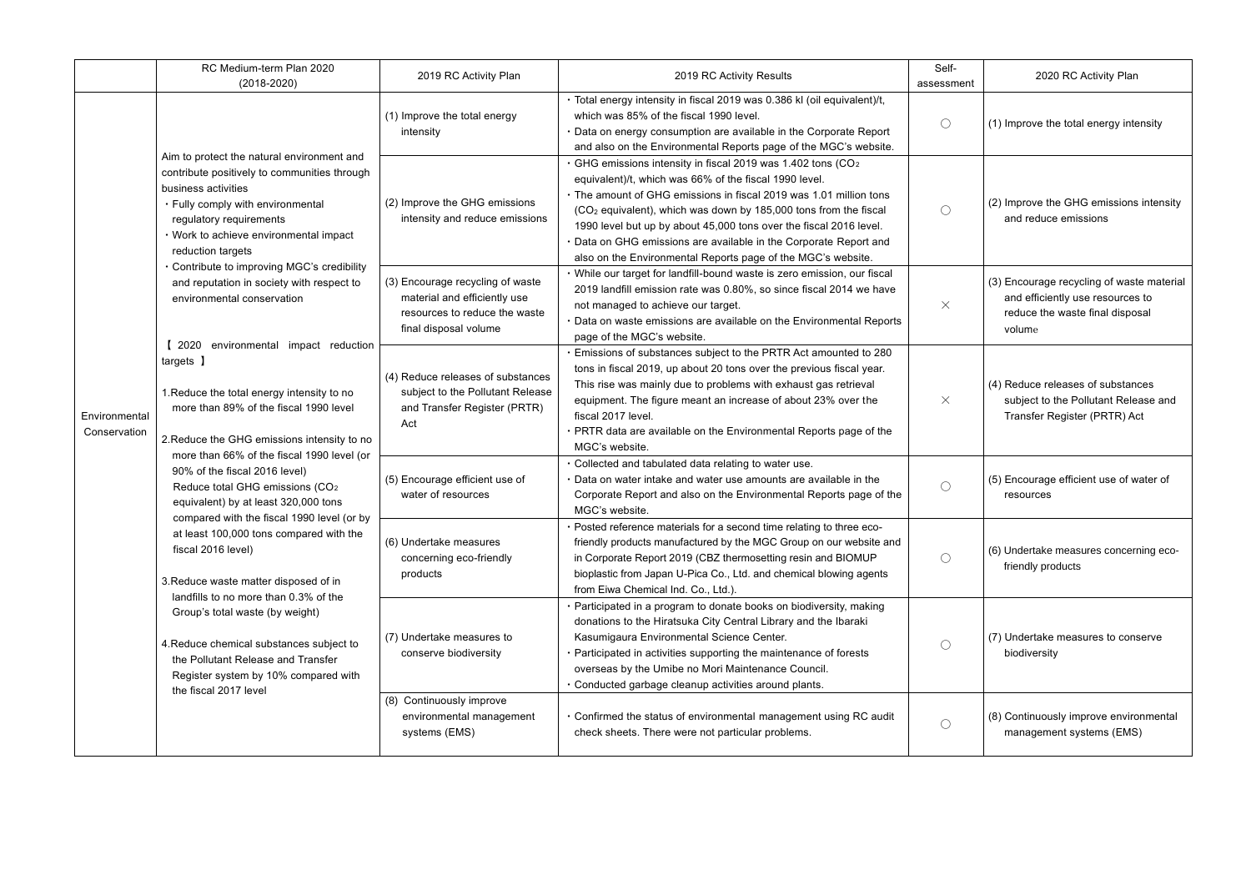|                               | RC Medium-term Plan 2020<br>$(2018 - 2020)$                                                                                                                                                                                                                                                                                                                                                                                                                                                                                                                                                                                                                                                                                                                                                                                                                                                                                                                                                                                                                                                                                      | 2019 RC Activity Plan                                                                                                      | 2019 RC Activity Results                                                                                                                                                                                                                                                                                                                                                                                                                                                                        | Self-<br>assessment | 2020 RC Activity Plan                                                                                                      |
|-------------------------------|----------------------------------------------------------------------------------------------------------------------------------------------------------------------------------------------------------------------------------------------------------------------------------------------------------------------------------------------------------------------------------------------------------------------------------------------------------------------------------------------------------------------------------------------------------------------------------------------------------------------------------------------------------------------------------------------------------------------------------------------------------------------------------------------------------------------------------------------------------------------------------------------------------------------------------------------------------------------------------------------------------------------------------------------------------------------------------------------------------------------------------|----------------------------------------------------------------------------------------------------------------------------|-------------------------------------------------------------------------------------------------------------------------------------------------------------------------------------------------------------------------------------------------------------------------------------------------------------------------------------------------------------------------------------------------------------------------------------------------------------------------------------------------|---------------------|----------------------------------------------------------------------------------------------------------------------------|
| Environmental<br>Conservation | Aim to protect the natural environment and<br>contribute positively to communities through<br>business activities<br>• Fully comply with environmental<br>regulatory requirements<br>· Work to achieve environmental impact<br>reduction targets<br>Contribute to improving MGC's credibility<br>and reputation in society with respect to<br>environmental conservation<br>2020 environmental impact reduction<br>targets ]<br>1. Reduce the total energy intensity to no<br>more than 89% of the fiscal 1990 level<br>2. Reduce the GHG emissions intensity to no<br>more than 66% of the fiscal 1990 level (or<br>90% of the fiscal 2016 level)<br>Reduce total GHG emissions (CO <sub>2</sub><br>equivalent) by at least 320,000 tons<br>compared with the fiscal 1990 level (or by<br>at least 100,000 tons compared with the<br>fiscal 2016 level)<br>3. Reduce waste matter disposed of in<br>landfills to no more than 0.3% of the<br>Group's total waste (by weight)<br>4. Reduce chemical substances subject to<br>the Pollutant Release and Transfer<br>Register system by 10% compared with<br>the fiscal 2017 level | (1) Improve the total energy<br>intensity                                                                                  | · Total energy intensity in fiscal 2019 was 0.386 kl (oil equivalent)/t,<br>which was 85% of the fiscal 1990 level.<br>Data on energy consumption are available in the Corporate Report<br>and also on the Environmental Reports page of the MGC's website.                                                                                                                                                                                                                                     | $\bigcirc$          | (1) Improve the total energy intensity                                                                                     |
|                               |                                                                                                                                                                                                                                                                                                                                                                                                                                                                                                                                                                                                                                                                                                                                                                                                                                                                                                                                                                                                                                                                                                                                  | (2) Improve the GHG emissions<br>intensity and reduce emissions                                                            | GHG emissions intensity in fiscal 2019 was 1.402 tons (CO <sub>2</sub><br>equivalent)/t, which was 66% of the fiscal 1990 level.<br>. The amount of GHG emissions in fiscal 2019 was 1.01 million tons<br>(CO <sub>2</sub> equivalent), which was down by 185,000 tons from the fiscal<br>1990 level but up by about 45,000 tons over the fiscal 2016 level.<br>Data on GHG emissions are available in the Corporate Report and<br>also on the Environmental Reports page of the MGC's website. | $\bigcirc$          | (2) Improve the GHG emissions intensity<br>and reduce emissions                                                            |
|                               |                                                                                                                                                                                                                                                                                                                                                                                                                                                                                                                                                                                                                                                                                                                                                                                                                                                                                                                                                                                                                                                                                                                                  | (3) Encourage recycling of waste<br>material and efficiently use<br>resources to reduce the waste<br>final disposal volume | · While our target for landfill-bound waste is zero emission, our fiscal<br>2019 landfill emission rate was 0.80%, so since fiscal 2014 we have<br>not managed to achieve our target.<br>Data on waste emissions are available on the Environmental Reports<br>page of the MGC's website.                                                                                                                                                                                                       | $\times$            | (3) Encourage recycling of waste material<br>and efficiently use resources to<br>reduce the waste final disposal<br>volume |
|                               |                                                                                                                                                                                                                                                                                                                                                                                                                                                                                                                                                                                                                                                                                                                                                                                                                                                                                                                                                                                                                                                                                                                                  | (4) Reduce releases of substances<br>subject to the Pollutant Release<br>and Transfer Register (PRTR)<br>Act               | Emissions of substances subject to the PRTR Act amounted to 280<br>tons in fiscal 2019, up about 20 tons over the previous fiscal year.<br>This rise was mainly due to problems with exhaust gas retrieval<br>equipment. The figure meant an increase of about 23% over the<br>fiscal 2017 level.<br>PRTR data are available on the Environmental Reports page of the<br>MGC's website.                                                                                                         | $\times$            | (4) Reduce releases of substances<br>subject to the Pollutant Release and<br>Transfer Register (PRTR) Act                  |
|                               |                                                                                                                                                                                                                                                                                                                                                                                                                                                                                                                                                                                                                                                                                                                                                                                                                                                                                                                                                                                                                                                                                                                                  | (5) Encourage efficient use of<br>water of resources                                                                       | Collected and tabulated data relating to water use.<br>Data on water intake and water use amounts are available in the<br>Corporate Report and also on the Environmental Reports page of the<br>MGC's website.                                                                                                                                                                                                                                                                                  | $\bigcirc$          | (5) Encourage efficient use of water of<br>resources                                                                       |
|                               |                                                                                                                                                                                                                                                                                                                                                                                                                                                                                                                                                                                                                                                                                                                                                                                                                                                                                                                                                                                                                                                                                                                                  | (6) Undertake measures<br>concerning eco-friendly<br>products                                                              | · Posted reference materials for a second time relating to three eco-<br>friendly products manufactured by the MGC Group on our website and<br>in Corporate Report 2019 (CBZ thermosetting resin and BIOMUP<br>bioplastic from Japan U-Pica Co., Ltd. and chemical blowing agents<br>from Eiwa Chemical Ind. Co., Ltd.).                                                                                                                                                                        | $\bigcirc$          | (6) Undertake measures concerning eco-<br>friendly products                                                                |
|                               |                                                                                                                                                                                                                                                                                                                                                                                                                                                                                                                                                                                                                                                                                                                                                                                                                                                                                                                                                                                                                                                                                                                                  | (7) Undertake measures to<br>conserve biodiversity                                                                         | · Participated in a program to donate books on biodiversity, making<br>donations to the Hiratsuka City Central Library and the Ibaraki<br>Kasumigaura Environmental Science Center.<br>· Participated in activities supporting the maintenance of forests<br>overseas by the Umibe no Mori Maintenance Council.<br>· Conducted garbage cleanup activities around plants.                                                                                                                        | $\bigcirc$          | (7) Undertake measures to conserve<br>biodiversity                                                                         |
|                               |                                                                                                                                                                                                                                                                                                                                                                                                                                                                                                                                                                                                                                                                                                                                                                                                                                                                                                                                                                                                                                                                                                                                  | (8) Continuously improve<br>environmental management<br>systems (EMS)                                                      | • Confirmed the status of environmental management using RC audit<br>check sheets. There were not particular problems.                                                                                                                                                                                                                                                                                                                                                                          | $\bigcirc$          | (8) Continuously improve environmental<br>management systems (EMS)                                                         |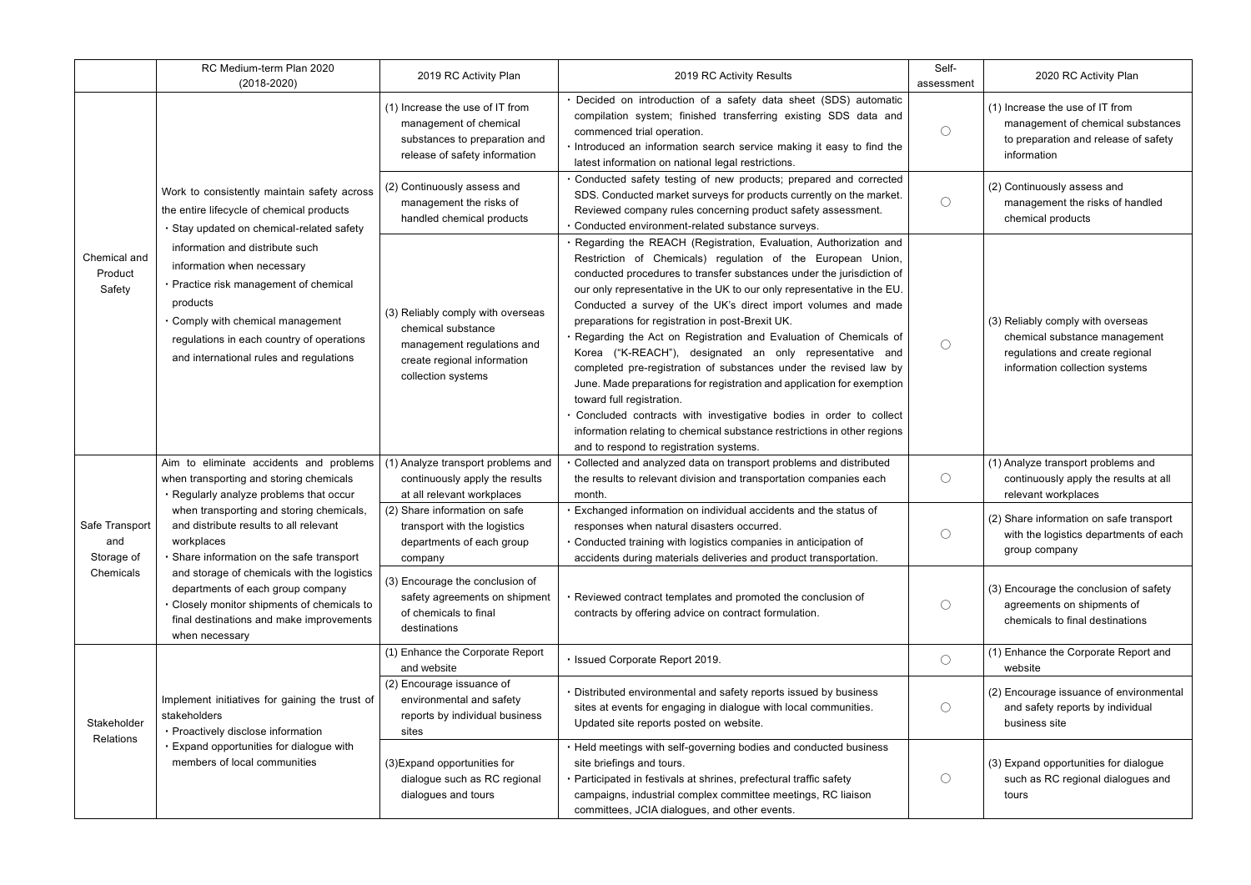|                                                  | RC Medium-term Plan 2020<br>$(2018 - 2020)$                                                                                                                                                                                                                                                                                                                                                                                                                                 | 2019 RC Activity Plan                                                                                                                      | 2019 RC Activity Results                                                                                                                                                                                                                                                                                                                                                                                                                                                                                                                                                                                                                                                                                                                                                                                                                                                                                             | Self-<br>assessment | 2020 RC Activity Plan                                                                                                                   |
|--------------------------------------------------|-----------------------------------------------------------------------------------------------------------------------------------------------------------------------------------------------------------------------------------------------------------------------------------------------------------------------------------------------------------------------------------------------------------------------------------------------------------------------------|--------------------------------------------------------------------------------------------------------------------------------------------|----------------------------------------------------------------------------------------------------------------------------------------------------------------------------------------------------------------------------------------------------------------------------------------------------------------------------------------------------------------------------------------------------------------------------------------------------------------------------------------------------------------------------------------------------------------------------------------------------------------------------------------------------------------------------------------------------------------------------------------------------------------------------------------------------------------------------------------------------------------------------------------------------------------------|---------------------|-----------------------------------------------------------------------------------------------------------------------------------------|
| Chemical and<br>Product<br>Safety                | Work to consistently maintain safety across<br>the entire lifecycle of chemical products<br>· Stay updated on chemical-related safety<br>information and distribute such<br>information when necessary<br>Practice risk management of chemical<br>products<br>Comply with chemical management<br>regulations in each country of operations<br>and international rules and regulations                                                                                       | (1) Increase the use of IT from<br>management of chemical<br>substances to preparation and<br>release of safety information                | · Decided on introduction of a safety data sheet (SDS) automatic<br>compilation system; finished transferring existing SDS data and<br>commenced trial operation.<br>. Introduced an information search service making it easy to find the<br>latest information on national legal restrictions.                                                                                                                                                                                                                                                                                                                                                                                                                                                                                                                                                                                                                     | $\bigcirc$          | (1) Increase the use of IT from<br>management of chemical substances<br>to preparation and release of safety<br>information             |
|                                                  |                                                                                                                                                                                                                                                                                                                                                                                                                                                                             | (2) Continuously assess and<br>management the risks of<br>handled chemical products                                                        | · Conducted safety testing of new products; prepared and corrected<br>SDS. Conducted market surveys for products currently on the market.<br>Reviewed company rules concerning product safety assessment.<br>Conducted environment-related substance surveys.                                                                                                                                                                                                                                                                                                                                                                                                                                                                                                                                                                                                                                                        | $\bigcirc$          | (2) Continuously assess and<br>management the risks of handled<br>chemical products                                                     |
|                                                  |                                                                                                                                                                                                                                                                                                                                                                                                                                                                             | (3) Reliably comply with overseas<br>chemical substance<br>management regulations and<br>create regional information<br>collection systems | · Regarding the REACH (Registration, Evaluation, Authorization and<br>Restriction of Chemicals) regulation of the European Union,<br>conducted procedures to transfer substances under the jurisdiction of<br>our only representative in the UK to our only representative in the EU.<br>Conducted a survey of the UK's direct import volumes and made<br>preparations for registration in post-Brexit UK.<br>· Regarding the Act on Registration and Evaluation of Chemicals of<br>Korea ("K-REACH"), designated an only representative and<br>completed pre-registration of substances under the revised law by<br>June. Made preparations for registration and application for exemption<br>toward full registration.<br>Concluded contracts with investigative bodies in order to collect<br>information relating to chemical substance restrictions in other regions<br>and to respond to registration systems. | $\bigcirc$          | (3) Reliably comply with overseas<br>chemical substance management<br>regulations and create regional<br>information collection systems |
| Safe Transport<br>and<br>Storage of<br>Chemicals | Aim to eliminate accidents and problems<br>when transporting and storing chemicals<br>· Regularly analyze problems that occur<br>when transporting and storing chemicals,<br>and distribute results to all relevant<br>workplaces<br>Share information on the safe transport<br>and storage of chemicals with the logistics<br>departments of each group company<br>Closely monitor shipments of chemicals to<br>final destinations and make improvements<br>when necessary | (1) Analyze transport problems and<br>continuously apply the results<br>at all relevant workplaces                                         | Collected and analyzed data on transport problems and distributed<br>the results to relevant division and transportation companies each<br>month.                                                                                                                                                                                                                                                                                                                                                                                                                                                                                                                                                                                                                                                                                                                                                                    | $\bigcirc$          | (1) Analyze transport problems and<br>continuously apply the results at all<br>relevant workplaces                                      |
|                                                  |                                                                                                                                                                                                                                                                                                                                                                                                                                                                             | (2) Share information on safe<br>transport with the logistics<br>departments of each group<br>company                                      | Exchanged information on individual accidents and the status of<br>responses when natural disasters occurred.<br>Conducted training with logistics companies in anticipation of<br>accidents during materials deliveries and product transportation.                                                                                                                                                                                                                                                                                                                                                                                                                                                                                                                                                                                                                                                                 | $\bigcirc$          | (2) Share information on safe transport<br>with the logistics departments of each<br>group company                                      |
|                                                  |                                                                                                                                                                                                                                                                                                                                                                                                                                                                             | (3) Encourage the conclusion of<br>safety agreements on shipment<br>of chemicals to final<br>destinations                                  | · Reviewed contract templates and promoted the conclusion of<br>contracts by offering advice on contract formulation.                                                                                                                                                                                                                                                                                                                                                                                                                                                                                                                                                                                                                                                                                                                                                                                                | $\bigcirc$          | (3) Encourage the conclusion of safety<br>agreements on shipments of<br>chemicals to final destinations                                 |
| Stakeholder<br>Relations                         | Implement initiatives for gaining the trust of<br>stakeholders<br>· Proactively disclose information<br>Expand opportunities for dialogue with<br>members of local communities                                                                                                                                                                                                                                                                                              | (1) Enhance the Corporate Report<br>and website                                                                                            | · Issued Corporate Report 2019.                                                                                                                                                                                                                                                                                                                                                                                                                                                                                                                                                                                                                                                                                                                                                                                                                                                                                      | $\bigcirc$          | (1) Enhance the Corporate Report and<br>website                                                                                         |
|                                                  |                                                                                                                                                                                                                                                                                                                                                                                                                                                                             | (2) Encourage issuance of<br>environmental and safety<br>reports by individual business<br>sites                                           | • Distributed environmental and safety reports issued by business<br>sites at events for engaging in dialogue with local communities.<br>Updated site reports posted on website.                                                                                                                                                                                                                                                                                                                                                                                                                                                                                                                                                                                                                                                                                                                                     | $\bigcirc$          | (2) Encourage issuance of environmental<br>and safety reports by individual<br>business site                                            |
|                                                  |                                                                                                                                                                                                                                                                                                                                                                                                                                                                             | (3) Expand opportunities for<br>dialogue such as RC regional<br>dialogues and tours                                                        | • Held meetings with self-governing bodies and conducted business<br>site briefings and tours.<br>· Participated in festivals at shrines, prefectural traffic safety<br>campaigns, industrial complex committee meetings, RC liaison<br>committees, JCIA dialogues, and other events.                                                                                                                                                                                                                                                                                                                                                                                                                                                                                                                                                                                                                                | $\bigcirc$          | (3) Expand opportunities for dialogue<br>such as RC regional dialogues and<br>tours                                                     |